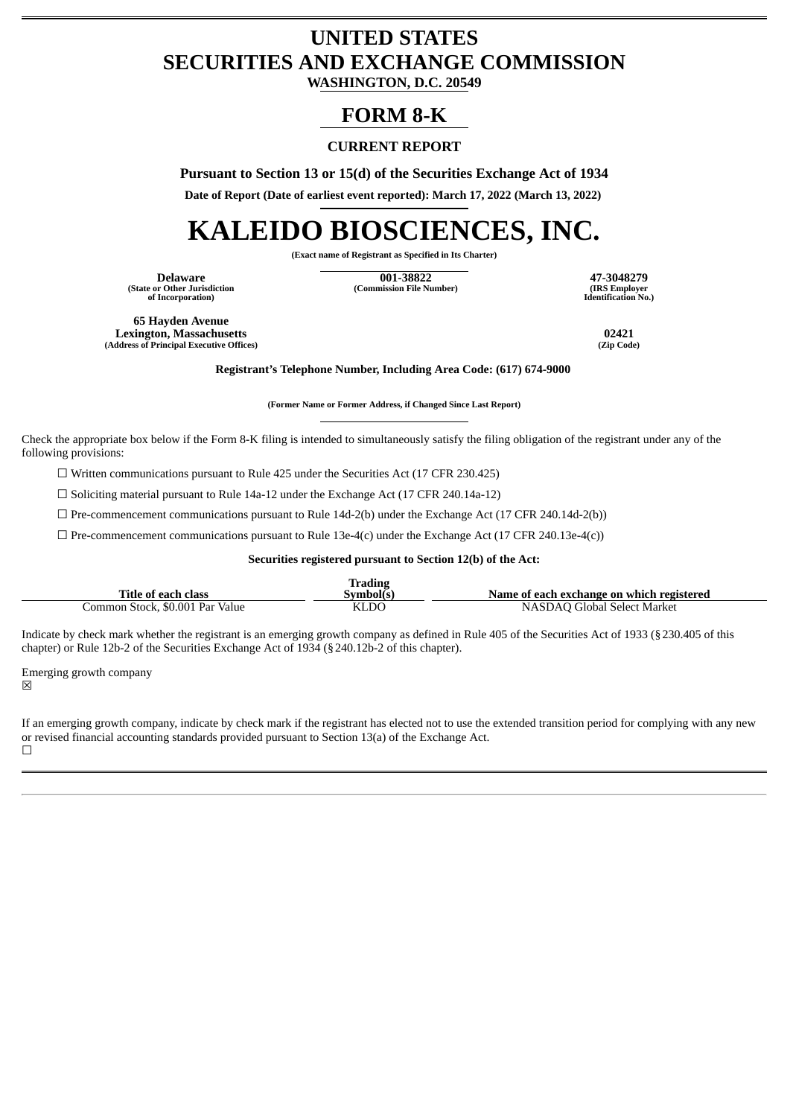## **UNITED STATES SECURITIES AND EXCHANGE COMMISSION**

**WASHINGTON, D.C. 20549**

### **FORM 8-K**

#### **CURRENT REPORT**

**Pursuant to Section 13 or 15(d) of the Securities Exchange Act of 1934**

**Date of Report (Date of earliest event reported): March 17, 2022 (March 13, 2022)**

# **KALEIDO BIOSCIENCES, INC.**

**(Exact name of Registrant as Specified in Its Charter)**

**(State or Other Jurisdiction of Incorporation)**

**Delaware 001-38822 47-3048279 (Commission File Number) (IRS Employer**

**Identification No.)**

**65 Hayden Avenue Lexington, Massachusetts 02421 (Address of Principal Executive Offices)** 

**Registrant's Telephone Number, Including Area Code: (617) 674-9000**

**(Former Name or Former Address, if Changed Since Last Report)**

Check the appropriate box below if the Form 8-K filing is intended to simultaneously satisfy the filing obligation of the registrant under any of the following provisions:

 $\Box$  Written communications pursuant to Rule 425 under the Securities Act (17 CFR 230.425)

☐ Soliciting material pursuant to Rule 14a-12 under the Exchange Act (17 CFR 240.14a-12)

 $\Box$  Pre-commencement communications pursuant to Rule 14d-2(b) under the Exchange Act (17 CFR 240.14d-2(b))

 $\Box$  Pre-commencement communications pursuant to Rule 13e-4(c) under the Exchange Act (17 CFR 240.13e-4(c))

**Securities registered pursuant to Section 12(b) of the Act:**

|                                 | <b>Trading</b> |                                           |
|---------------------------------|----------------|-------------------------------------------|
| <b>Title of each class</b>      | Symbol(s)      | Name of each exchange on which registered |
| Common Stock, \$0.001 Par Value | KLDC           | NASDAQ Global Select Market               |

Indicate by check mark whether the registrant is an emerging growth company as defined in Rule 405 of the Securities Act of 1933 (§230.405 of this chapter) or Rule 12b-2 of the Securities Exchange Act of 1934 (§240.12b-2 of this chapter).

Emerging growth company

冈

If an emerging growth company, indicate by check mark if the registrant has elected not to use the extended transition period for complying with any new or revised financial accounting standards provided pursuant to Section 13(a) of the Exchange Act.  $\Box$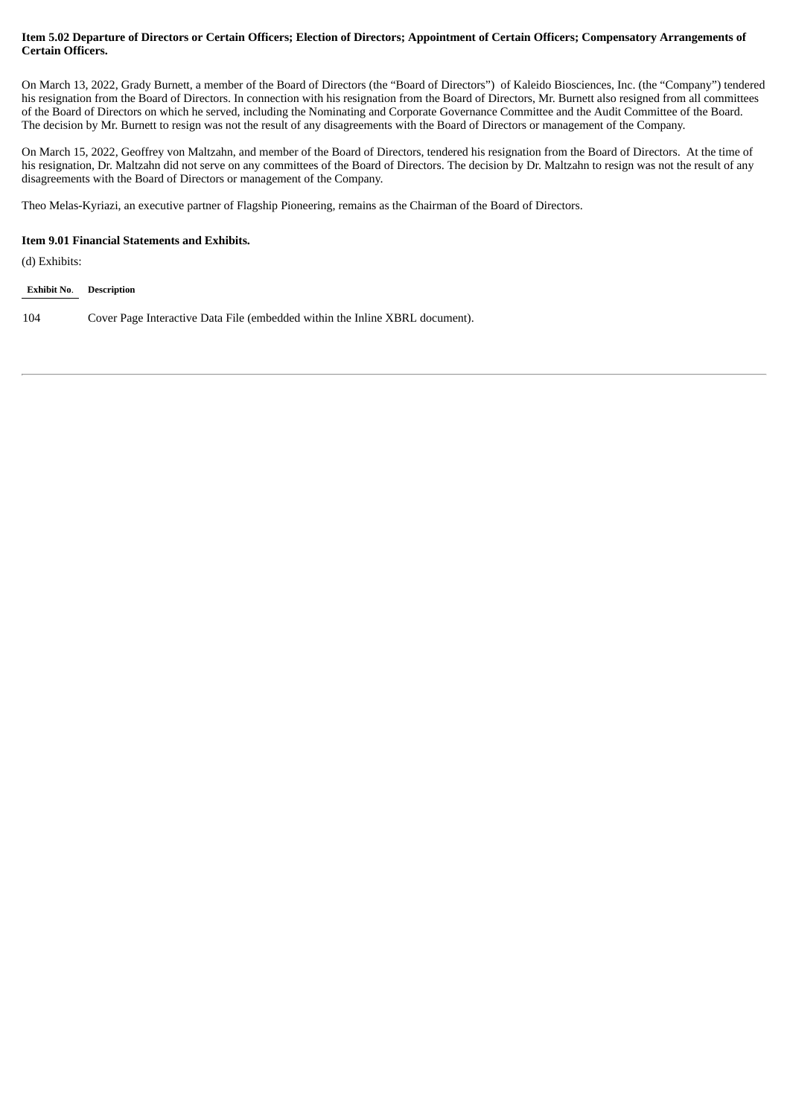#### Item 5.02 Departure of Directors or Certain Officers; Election of Directors; Appointment of Certain Officers; Compensatory Arrangements of **Certain Officers.**

On March 13, 2022, Grady Burnett, a member of the Board of Directors (the "Board of Directors") of Kaleido Biosciences, Inc. (the "Company") tendered his resignation from the Board of Directors. In connection with his resignation from the Board of Directors, Mr. Burnett also resigned from all committees of the Board of Directors on which he served, including the Nominating and Corporate Governance Committee and the Audit Committee of the Board. The decision by Mr. Burnett to resign was not the result of any disagreements with the Board of Directors or management of the Company.

On March 15, 2022, Geoffrey von Maltzahn, and member of the Board of Directors, tendered his resignation from the Board of Directors. At the time of his resignation, Dr. Maltzahn did not serve on any committees of the Board of Directors. The decision by Dr. Maltzahn to resign was not the result of any disagreements with the Board of Directors or management of the Company.

Theo Melas-Kyriazi, an executive partner of Flagship Pioneering, remains as the Chairman of the Board of Directors.

#### **Item 9.01 Financial Statements and Exhibits.**

(d) Exhibits:

#### **Exhibit No**. **Description**

104 Cover Page Interactive Data File (embedded within the Inline XBRL document).